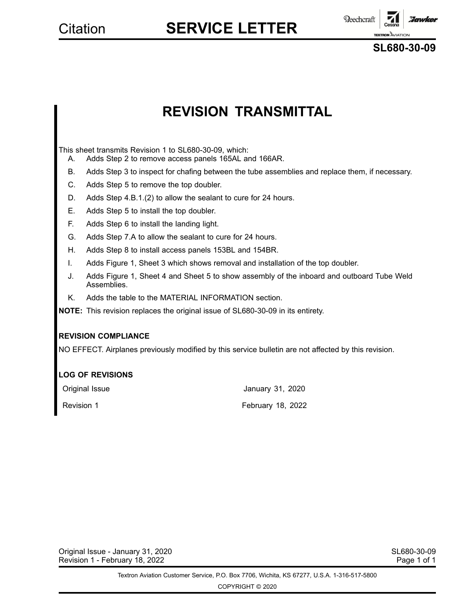**Reechcraft** :Iawkel **TEXTRON** AVIATIO

**SL680-30-09**

## **REVISION TRANSMITTAL**

This sheet transmits Revision 1 to SL680-30-09, which:

- A. Adds Step 2 to remove access panels 165AL and 166AR.
- B. Adds Step 3 to inspect for chafing between the tube assemblies and replace them, if necessary.
- C. Adds Step 5 to remove the top doubler.
- D. Adds Step 4.B.1.(2) to allow the sealant to cure for 24 hours.
- E. Adds Step 5 to install the top doubler.
- F. Adds Step 6 to install the landing light.
- G. Adds Step 7.A to allow the sealant to cure for 24 hours.
- H. Adds Step 8 to install access panels 153BL and 154BR.
- I. Adds Figure 1, Sheet 3 which shows removal and installation of the top doubler.
- J. Adds Figure 1, Sheet 4 and Sheet 5 to show assembly of the inboard and outboard Tube Weld Assemblies.
- K. Adds the table to the MATERIAL INFORMATION section.

**NOTE:** This revision replaces the original issue of SL680-30-09 in its entirety.

### **REVISION COMPLIANCE**

NO EFFECT. Airplanes previously modified by this service bulletin are not affected by this revision.

### **LOG OF REVISIONS**

| Original Issue | January 31, 2020  |
|----------------|-------------------|
| Revision 1     | February 18, 2022 |

Original Issue - January 31, 2020 SL680-30-09 Revision 1 - February 18, 2022 **Page 1 of 1** and 2009 Page 1 of 1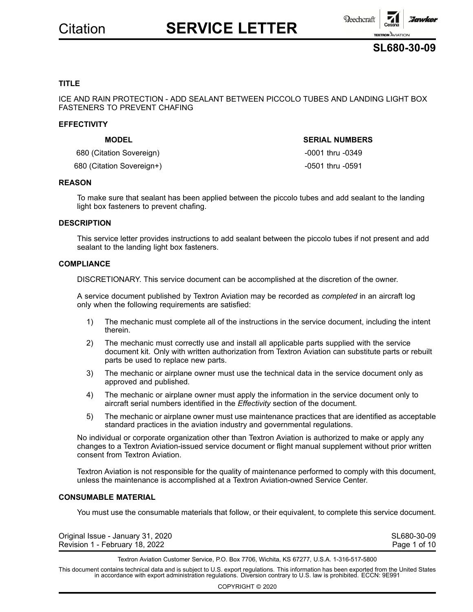



### **TITLE**

ICE AND RAIN PROTECTION - ADD SEALANT BETWEEN PICCOLO TUBES AND LANDING LIGHT BOX FASTENERS TO PREVENT CHAFING

#### **EFFECTIVITY**

### **MODEL SERIAL NUMBERS**

680 (Citation Sovereign) 680 (Citation Sovereign)

680 (Citation Sovereign+)  $-0501$  thru -0591

### **REASON**

To make sure that sealant has been applied between the piccolo tubes and add sealant to the landing light box fasteners to prevent chafing.

### **DESCRIPTION**

This service letter provides instructions to add sealant between the piccolo tubes if not present and add sealant to the landing light box fasteners.

### **COMPLIANCE**

DISCRETIONARY. This service document can be accomplished at the discretion of the owner.

A service document published by Textron Aviation may be recorded as *completed* in an aircraft log only when the following requirements are satisfied:

- 1) The mechanic must complete all of the instructions in the service document, including the intent therein.
- 2) The mechanic must correctly use and install all applicable parts supplied with the service document kit. Only with written authorization from Textron Aviation can substitute parts or rebuilt parts be used to replace new parts.
- 3) The mechanic or airplane owner must use the technical data in the service document only as approved and published.
- 4) The mechanic or airplane owner must apply the information in the service document only to aircraft serial numbers identified in the *Effectivity* section of the document.
- 5) The mechanic or airplane owner must use maintenance practices that are identified as acceptable standard practices in the aviation industry and governmental regulations.

No individual or corporate organization other than Textron Aviation is authorized to make or apply any changes to <sup>a</sup> Textron Aviation-issued service document or flight manual supplement without prior written consent from Textron Aviation.

Textron Aviation is not responsible for the quality of maintenance performed to comply with this document, unless the maintenance is accomplished at <sup>a</sup> Textron Aviation-owned Service Center.

### **CONSUMABLE MATERIAL**

You must use the consumable materials that follow, or their equivalent, to complete this service document.

| Original Issue - January 31, 2020 | SL680-30-09  |
|-----------------------------------|--------------|
| Revision 1 - February 18, 2022    | Page 1 of 10 |

Textron Aviation Customer Service, P.O. Box 7706, Wichita, KS 67277, U.S.A. 1-316-517-5800

This document contains technical data and is subject to U.S. export regulations. This information has been exported from the United States<br>in accordance with export administration regulations. Diversion contrary to U.S. la

COPYRIGHT © 2020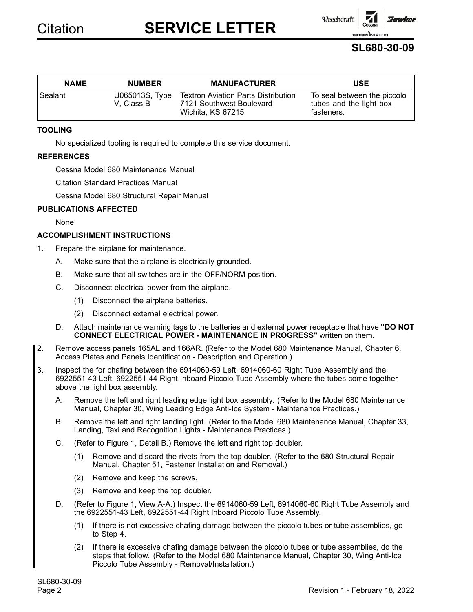Beechcraft

**SL680-30-09**

**TEXTRON** AVIAT

:Jawker

| <b>NAME</b> | <b>NUMBER</b>                | <b>MANUFACTURER</b>                                                                         | <b>USE</b>                                                           |
|-------------|------------------------------|---------------------------------------------------------------------------------------------|----------------------------------------------------------------------|
| Sealant     | U065013S, Type<br>V. Class B | <b>Textron Aviation Parts Distribution</b><br>7121 Southwest Boulevard<br>Wichita, KS 67215 | To seal between the piccolo<br>tubes and the light box<br>fasteners. |

### **TOOLING**

No specialized tooling is required to complete this service document.

### **REFERENCES**

Cessna Model 680 Maintenance Manual

Citation Standard Practices Manual

Cessna Model 680 Structural Repair Manual

### **PUBLICATIONS AFFECTED**

None

### **ACCOMPLISHMENT INSTRUCTIONS**

- 1. Prepare the airplane for maintenance.
	- A. Make sure that the airplane is electrically grounded.
	- B. Make sure that all switches are in the OFF/NORM position.
	- C. Disconnect electrical power from the airplane.
		- (1) Disconnect the airplane batteries.
		- (2) Disconnect external electrical power.
	- D. Attach maintenance warning tags to the batteries and external power receptacle that have **"DO NOT CONNECT ELECTRICAL POWER - MAINTENANCE IN PROGRESS"** written on them.
- 2. Remove access panels 165AL and 166AR. (Refer to the Model 680 Maintenance Manual, Chapter 6, Access Plates and Panels Identification - Description and Operation.)
- 3. Inspect the for chafing between the 6914060-59 Left, 6914060-60 Right Tube Assembly and the 6922551-43 Left, 6922551-44 Right Inboard Piccolo Tube Assembly where the tubes come together above the light box assembly.
	- A. Remove the left and right leading edge light box assembly. (Refer to the Model 680 Maintenance Manual, Chapter 30, Wing Leading Edge Anti-Ice System - Maintenance Practices.)
	- B. Remove the left and right landing light. (Refer to the Model 680 Maintenance Manual, Chapter 33, Landing, Taxi and Recognition Lights - Maintenance Practices.)
	- C. (Refer to Figure 1, Detail B.) Remove the left and right top doubler.
		- (1) Remove and discard the rivets from the top doubler. (Refer to the 680 Structural Repair Manual, Chapter 51, Fastener Installation and Removal.)
		- (2) Remove and keep the screws.
		- (3) Remove and keep the top doubler.
	- D. (Refer to Figure 1, View A-A.) Inspect the 6914060-59 Left, 6914060-60 Right Tube Assembly and the 6922551-43 Left, 6922551-44 Right Inboard Piccolo Tube Assembly.
		- (1) If there is not excessive chafing damage between the piccolo tubes or tube assemblies, go to Step 4.
		- (2) If there is excessive chafing damage between the piccolo tubes or tube assemblies, do the steps that follow. (Refer to the Model 680 Maintenance Manual, Chapter 30, Wing Anti-Ice Piccolo Tube Assembly - Removal/Installation.)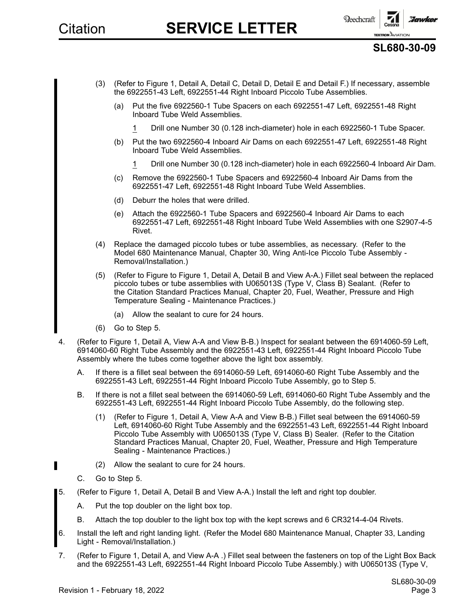

### **SL680-30-09**

- (3) (Refer to Figure 1, Detail A, Detail C, Detail D, Detail Eand Detail F.) If necessary, assemble the 6922551-43 Left, 6922551-44 Right Inboard Piccolo Tube Assemblies.
	- (a) Put the five 6922560-1 Tube Spacers on each 6922551-47 Left, 6922551-48 Right Inboard Tube Weld Assemblies.
		- 1 Drill one Number 30 (0.128 inch-diameter) hole in each 6922560-1 Tube Spacer.
	- (b) Put the two 6922560-4 Inboard Air Dams on each 6922551-47 Left, 6922551-48 Right Inboard Tube Weld Assemblies.
		- 1 Drill one Number 30 (0.128 inch-diameter) hole in each 6922560-4 Inboard Air Dam.
	- (c) Remove the 6922560-1 Tube Spacers and 6922560-4 Inboard Air Dams from the 6922551-47 Left, 6922551-48 Right Inboard Tube Weld Assemblies.
	- (d) Deburr the holes that were drilled.
	- (e) Attach the 6922560-1 Tube Spacers and 6922560-4 Inboard Air Dams to each 6922551-47 Left, 6922551-48 Right Inboard Tube Weld Assemblies with one S2907-4-5 Rivet.
- (4) Replace the damaged piccolo tubes or tube assemblies, as necessary. (Refer to the Model 680 Maintenance Manual, Chapter 30, Wing Anti-Ice Piccolo Tube Assembly - Removal/Installation.)
- (5) (Refer to Figure to Figure 1, Detail A, Detail B and View A-A.) Fillet seal between the replaced piccolo tubes or tube assemblies with U065013S (Type V, Class B) Sealant. (Refer to the Citation Standard Practices Manual, Chapter 20, Fuel, Weather, Pressure and High Temperature Sealing - Maintenance Practices.)
	- (a) Allow the sealant to cure for 24 hours.
- (6) Go to Step 5.
- 4. (Refer to Figure 1, Detail A, View A-A and View B-B.) Inspect for sealant between the 6914060-59 Left, 6914060-60 Right Tube Assembly and the 6922551-43 Left, 6922551-44 Right Inboard Piccolo Tube Assembly where the tubes come together above the light box assembly.
	- A. If there is <sup>a</sup> fillet seal between the 6914060-59 Left, 6914060-60 Right Tube Assembly and the 6922551-43 Left, 6922551-44 Right Inboard Piccolo Tube Assembly, go to Step 5.
	- B. If there is not <sup>a</sup> fillet seal between the 6914060-59 Left, 6914060-60 Right Tube Assembly and the 6922551-43 Left, 6922551-44 Right Inboard Piccolo Tube Assembly, do the following step.
		- (1) (Refer to Figure 1, Detail A, View A-A and View B-B.) Fillet seal between the 6914060-59 Left, 6914060-60 Right Tube Assembly and the 6922551-43 Left, 6922551-44 Right Inboard Piccolo Tube Assembly with U065013S (Type V, Class B) Sealer. (Refer to the Citation Standard Practices Manual, Chapter 20, Fuel, Weather, Pressure and High Temperature Sealing - Maintenance Practices.)
		- (2) Allow the sealant to cure for 24 hours.
	- C. Go to Step 5.
- 5. (Refer to Figure 1, Detail A, Detail B and View A-A.) Install the left and right top doubler.
	- A. Put the top doubler on the light box top.
	- B. Attach the top doubler to the light box top with the kept screws and 6 CR3214-4-04 Rivets.
	- 6. Install the left and right landing light. (Refer the Model 680 Maintenance Manual, Chapter 33, Landing Light - Removal/Installation.)
- 7. (Refer to Figure 1, Detail A, and View A-A .) Fillet seal between the fasteners on top of the Light Box Back and the 6922551-43 Left, 6922551-44 Right Inboard Piccolo Tube Assembly.) with U065013S (Type V,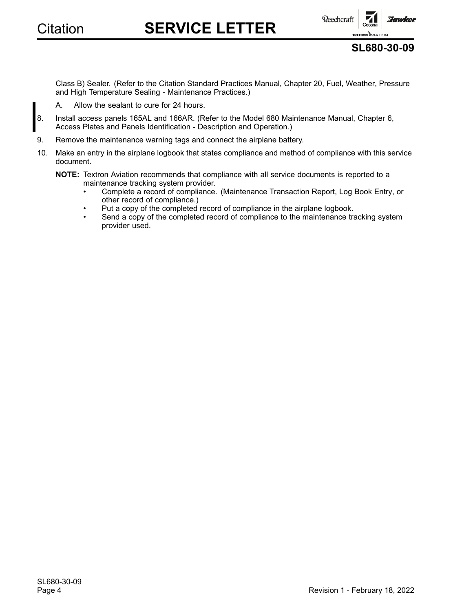

**Reechcraft** 

**TEXTRON AVIATION SL680-30-09**

aannken

Class B) Sealer. (Refer to the Citation Standard Practices Manual, Chapter 20, Fuel, Weather, Pressure and High Temperature Sealing - Maintenance Practices.)

- A. Allow the sealant to cure for 24 hours.
- 8. Install access panels 165AL and 166AR. (Refer to the Model 680 Maintenance Manual, Chapter 6, Access Plates and Panels Identification - Description and Operation.)
- 9. Remove the maintenance warning tags and connect the airplane battery.
- 10. Make an entry in the airplane logbook that states compliance and method of compliance with this service document.

**NOTE:** Textron Aviation recommends that compliance with all service documents is reported to <sup>a</sup> maintenance tracking system provider.

- • Complete <sup>a</sup> record of compliance. (Maintenance Transaction Report, Log Book Entry, or other record of compliance.)
- •Put <sup>a</sup> copy of the completed record of compliance in the airplane logbook.
- •Send a copy of the completed record of compliance to the maintenance tracking system provider used.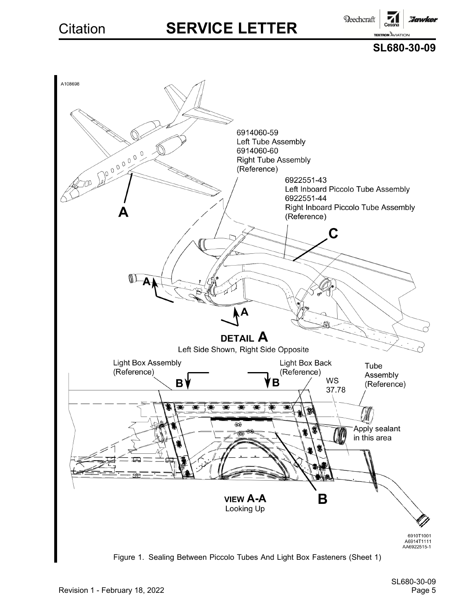Beechcraft **Hawker** 

> **TEXTRON AVIATION SL680-30-09**

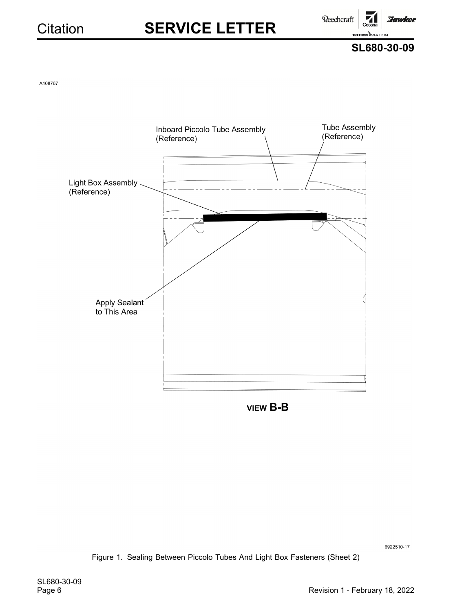Beechcraft



:Jawker

A108767



**VIEW B-B** 

6922510-17

Figure 1. Sealing Between Piccolo Tubes And Light Box Fasteners (Sheet 2)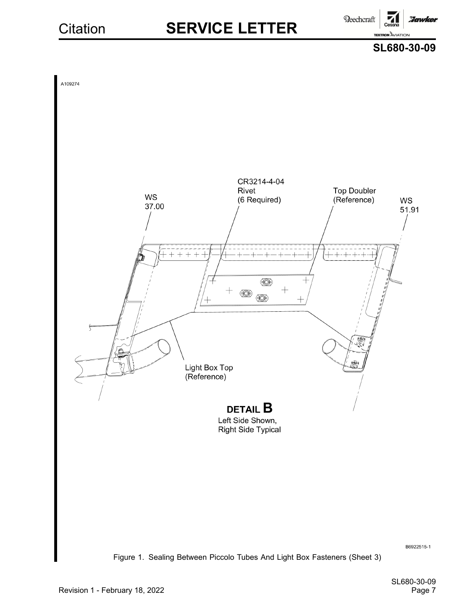**Reechcraft Hawker** 





Figure 1. Sealing Between Piccolo Tubes And Light Box Fasteners (Sheet 3)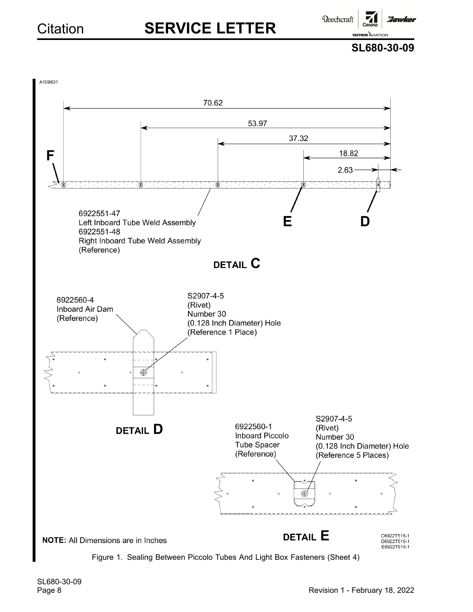**Reechcraft** 

**Hawker** 

**SL680-30-09**

**TEXTRON AVIATION** 

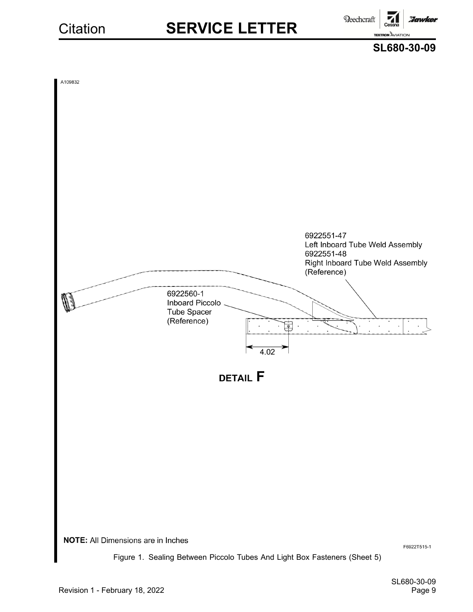**Beechcraft** :Iawker **TEXTRON AVIATION** 



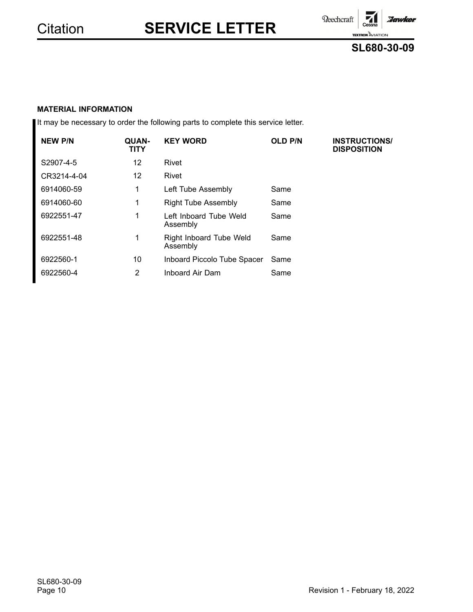Beechcraft

**TEXTRON AVIATION** 

:Jawker

### **SL680-30-09**

71

### **MATERIAL INFORMATION**

It may be necessary to order the following parts to complete this service letter.

| <b>NEW P/N</b> | QUAN-<br>TITY | <b>KEY WORD</b>                            | <b>OLD P/N</b> | <b>INSTRUCTIONS/</b><br><b>DISPOSITION</b> |
|----------------|---------------|--------------------------------------------|----------------|--------------------------------------------|
| S2907-4-5      | 12            | Rivet                                      |                |                                            |
| CR3214-4-04    | 12.           | Rivet                                      |                |                                            |
| 6914060-59     | 1             | Left Tube Assembly                         | Same           |                                            |
| 6914060-60     | 1             | <b>Right Tube Assembly</b>                 | Same           |                                            |
| 6922551-47     | 1             | Left Inboard Tube Weld<br>Assembly         | Same           |                                            |
| 6922551-48     | 1             | <b>Right Inboard Tube Weld</b><br>Assembly | Same           |                                            |
| 6922560-1      | 10            | Inboard Piccolo Tube Spacer                | Same           |                                            |
| 6922560-4      | 2             | Inboard Air Dam                            | Same           |                                            |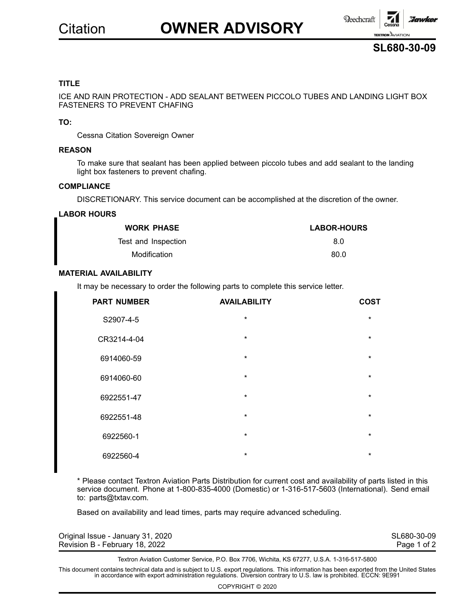# Citation **OWNER ADVISORY**





### **TITLE**

ICE AND RAIN PROTECTION - ADD SEALANT BETWEEN PICCOLO TUBES AND LANDING LIGHT BOX FASTENERS TO PREVENT CHAFING

### **TO:**

Cessna Citation Sovereign Owner

#### **REASON**

To make sure that sealant has been applied between piccolo tubes and add sealant to the landing light box fasteners to prevent chafing.

#### **COMPLIANCE**

DISCRETIONARY. This service document can be accomplished at the discretion of the owner.

### **LABOR HOURS**

| <b>WORK PHASE</b>   | <b>LABOR-HOURS</b> |
|---------------------|--------------------|
| Test and Inspection | 8.0                |
| Modification        | 80.0               |

### **MATERIAL AVAILABILITY**

It may be necessary to order the following parts to complete this service letter.

| <b>PART NUMBER</b> | <b>AVAILABILITY</b> | <b>COST</b> |
|--------------------|---------------------|-------------|
| S2907-4-5          | $\star$             | $\star$     |
| CR3214-4-04        | $\star$             | $\star$     |
| 6914060-59         | $\star$             | $\star$     |
| 6914060-60         | $\star$             | $\star$     |
| 6922551-47         | $\star$             | $\star$     |
| 6922551-48         | $\star$             | $\star$     |
| 6922560-1          | $\star$             | $\star$     |
| 6922560-4          | $\star$             | $\star$     |

\* Please contact Textron Aviation Parts Distribution for current cost and availability of parts listed in this service document. Phone at 1-800-835-4000 (Domestic) or 1-316-517-5603 (International). Send email to: parts@txtav.com.

Based on availability and lead times, parts may require advanced scheduling.

| Original Issue - January 31, 2020 | SL680-30-09 |
|-----------------------------------|-------------|
| Revision B - February 18, 2022    | Page 1 of 2 |

Textron Aviation Customer Service, P.O. Box 7706, Wichita, KS 67277, U.S.A. 1-316-517-5800

This document contains technical data and is subject to U.S. export regulations. This information has been exported from the United States<br>in accordance with export administration regulations. Diversion contrary to U.S. la

COPYRIGHT © 2020